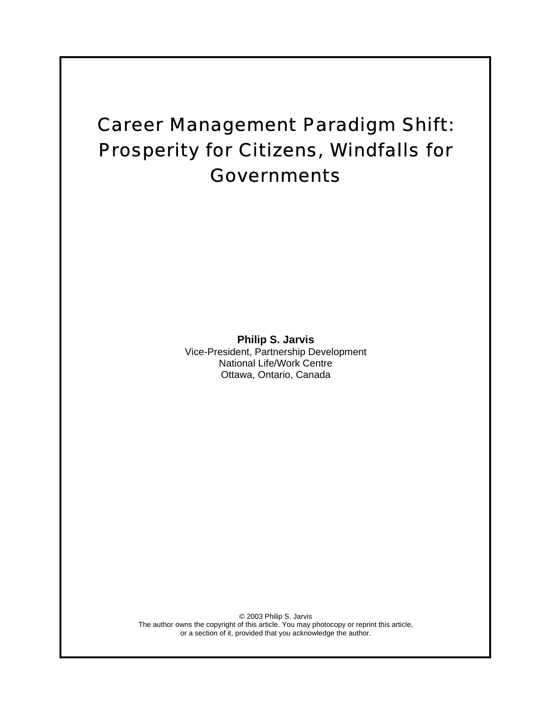# Career Management Paradigm Shift: Prosperity for Citizens, Windfalls for Governments

**Philip S. Jarvis**  Vice-President, Partnership Development National Life/Work Centre Ottawa, Ontario, Canada

© 2003 Philip S. Jarvis The author owns the copyright of this article. You may photocopy or reprint this article, or a section of it, provided that you acknowledge the author.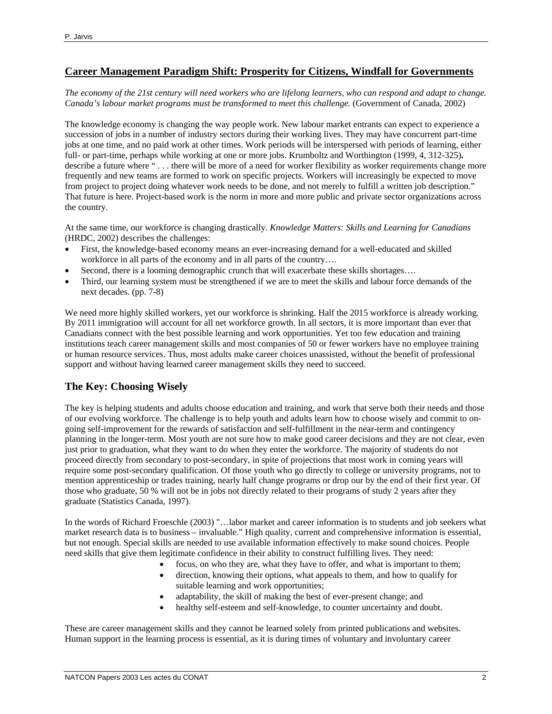#### **Career Management Paradigm Shift: Prosperity for Citizens, Windfall for Governments**

*The economy of the 21st century will need workers who are lifelong learners, who can respond and adapt to change. Canada's labour market programs must be transformed to meet this challenge.* (Government of Canada, 2002)

The knowledge economy is changing the way people work. New labour market entrants can expect to experience a succession of jobs in a number of industry sectors during their working lives. They may have concurrent part-time jobs at one time, and no paid work at other times. Work periods will be interspersed with periods of learning, either full- or part-time, perhaps while working at one or more jobs. Krumboltz and Worthington (1999, 4, 312-325)**.** describe a future where "... there will be more of a need for worker flexibility as worker requirements change more frequently and new teams are formed to work on specific projects. Workers will increasingly be expected to move from project to project doing whatever work needs to be done, and not merely to fulfill a written job description." That future is here. Project-based work is the norm in more and more public and private sector organizations across the country.

At the same time, our workforce is changing drastically. *Knowledge Matters: Skills and Learning for Canadians*  (HRDC, 2002) describes the challenges:

- First, the knowledge-based economy means an ever-increasing demand for a well-educated and skilled workforce in all parts of the economy and in all parts of the country....
- Second, there is a looming demographic crunch that will exacerbate these skills shortages….
- Third, our learning system must be strengthened if we are to meet the skills and labour force demands of the next decades. (pp. 7-8)

We need more highly skilled workers, yet our workforce is shrinking. Half the 2015 workforce is already working. By 2011 immigration will account for all net workforce growth. In all sectors, it is more important than ever that Canadians connect with the best possible learning and work opportunities. Yet too few education and training institutions teach career management skills and most companies of 50 or fewer workers have no employee training or human resource services. Thus, most adults make career choices unassisted, without the benefit of professional support and without having learned career management skills they need to succeed.

## **The Key: Choosing Wisely**

The key is helping students and adults choose education and training, and work that serve both their needs and those of our evolving workforce. The challenge is to help youth and adults learn how to choose wisely and commit to ongoing self-improvement for the rewards of satisfaction and self-fulfillment in the near-term and contingency planning in the longer-term. Most youth are not sure how to make good career decisions and they are not clear, even just prior to graduation, what they want to do when they enter the workforce. The majority of students do not proceed directly from secondary to post-secondary, in spite of projections that most work in coming years will require some post-secondary qualification. Of those youth who go directly to college or university programs, not to mention apprenticeship or trades training, nearly half change programs or drop our by the end of their first year. Of those who graduate, 50 % will not be in jobs not directly related to their programs of study 2 years after they graduate (Statistics Canada, 1997).

In the words of Richard Froeschle (2003) "…labor market and career information is to students and job seekers what market research data is to business – invaluable." High quality, current and comprehensive information is essential, but not enough. Special skills are needed to use available information effectively to make sound choices. People need skills that give them legitimate confidence in their ability to construct fulfilling lives. They need:

- focus, on who they are, what they have to offer, and what is important to them;
- direction, knowing their options, what appeals to them, and how to qualify for suitable learning and work opportunities;
- adaptability, the skill of making the best of ever-present change; and
- healthy self-esteem and self-knowledge, to counter uncertainty and doubt.

These are career management skills and they cannot be learned solely from printed publications and websites. Human support in the learning process is essential, as it is during times of voluntary and involuntary career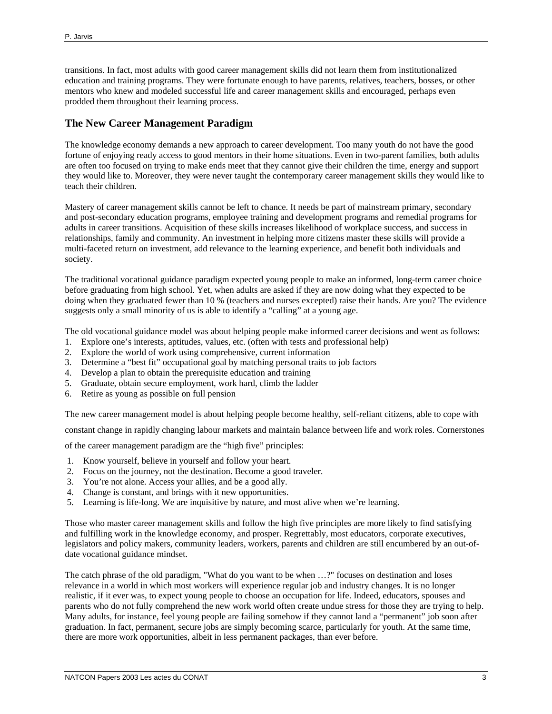transitions. In fact, most adults with good career management skills did not learn them from institutionalized education and training programs. They were fortunate enough to have parents, relatives, teachers, bosses, or other mentors who knew and modeled successful life and career management skills and encouraged, perhaps even prodded them throughout their learning process.

## **The New Career Management Paradigm**

The knowledge economy demands a new approach to career development. Too many youth do not have the good fortune of enjoying ready access to good mentors in their home situations. Even in two-parent families, both adults are often too focused on trying to make ends meet that they cannot give their children the time, energy and support they would like to. Moreover, they were never taught the contemporary career management skills they would like to teach their children.

Mastery of career management skills cannot be left to chance. It needs be part of mainstream primary, secondary and post-secondary education programs, employee training and development programs and remedial programs for adults in career transitions. Acquisition of these skills increases likelihood of workplace success, and success in relationships, family and community. An investment in helping more citizens master these skills will provide a multi-faceted return on investment, add relevance to the learning experience, and benefit both individuals and society.

The traditional vocational guidance paradigm expected young people to make an informed, long-term career choice before graduating from high school. Yet, when adults are asked if they are now doing what they expected to be doing when they graduated fewer than 10 % (teachers and nurses excepted) raise their hands. Are you? The evidence suggests only a small minority of us is able to identify a "calling" at a young age.

The old vocational guidance model was about helping people make informed career decisions and went as follows:

- 1. Explore one's interests, aptitudes, values, etc. (often with tests and professional help)
- 2. Explore the world of work using comprehensive, current information
- 3. Determine a "best fit" occupational goal by matching personal traits to job factors
- 4. Develop a plan to obtain the prerequisite education and training
- 5. Graduate, obtain secure employment, work hard, climb the ladder
- 6. Retire as young as possible on full pension

The new career management model is about helping people become healthy, self-reliant citizens, able to cope with

constant change in rapidly changing labour markets and maintain balance between life and work roles. Cornerstones

of the career management paradigm are the "high five" principles:

- 1. Know yourself, believe in yourself and follow your heart.
- 2. Focus on the journey, not the destination. Become a good traveler.
- 3. You're not alone. Access your allies, and be a good ally.
- 4. Change is constant, and brings with it new opportunities.
- 5. Learning is life-long. We are inquisitive by nature, and most alive when we're learning.

Those who master career management skills and follow the high five principles are more likely to find satisfying and fulfilling work in the knowledge economy, and prosper. Regrettably, most educators, corporate executives, legislators and policy makers, community leaders, workers, parents and children are still encumbered by an out-ofdate vocational guidance mindset.

The catch phrase of the old paradigm, "What do you want to be when …?" focuses on destination and loses relevance in a world in which most workers will experience regular job and industry changes. It is no longer realistic, if it ever was, to expect young people to choose an occupation for life. Indeed, educators, spouses and parents who do not fully comprehend the new work world often create undue stress for those they are trying to help. Many adults, for instance, feel young people are failing somehow if they cannot land a "permanent" job soon after graduation. In fact, permanent, secure jobs are simply becoming scarce, particularly for youth. At the same time, there are more work opportunities, albeit in less permanent packages, than ever before.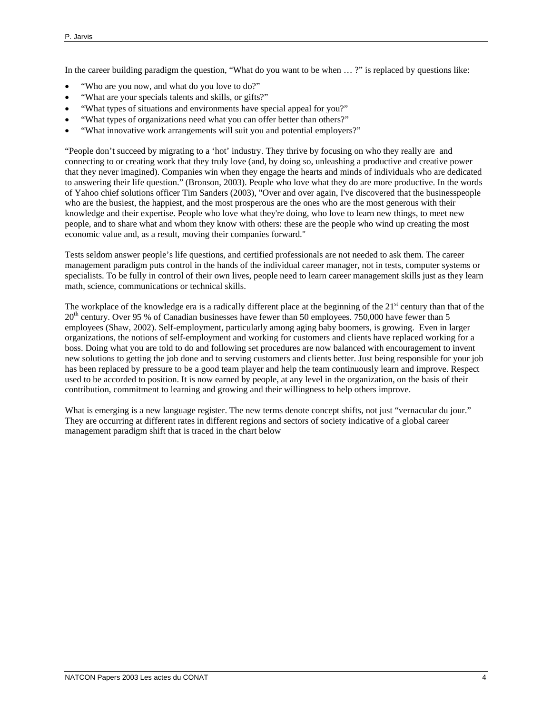In the career building paradigm the question, "What do you want to be when … ?" is replaced by questions like:

- "Who are you now, and what do you love to do?"
- "What are your specials talents and skills, or gifts?"
- "What types of situations and environments have special appeal for you?"
- "What types of organizations need what you can offer better than others?"
- "What innovative work arrangements will suit you and potential employers?"

"People don't succeed by migrating to a 'hot' industry. They thrive by focusing on who they really are and connecting to or creating work that they truly love (and, by doing so, unleashing a productive and creative power that they never imagined). Companies win when they engage the hearts and minds of individuals who are dedicated to answering their life question." (Bronson, 2003). People who love what they do are more productive. In the words of Yahoo chief solutions officer Tim Sanders (2003), "Over and over again, I've discovered that the businesspeople who are the busiest, the happiest, and the most prosperous are the ones who are the most generous with their knowledge and their expertise. People who love what they're doing, who love to learn new things, to meet new people, and to share what and whom they know with others: these are the people who wind up creating the most economic value and, as a result, moving their companies forward."

Tests seldom answer people's life questions, and certified professionals are not needed to ask them. The career management paradigm puts control in the hands of the individual career manager, not in tests, computer systems or specialists. To be fully in control of their own lives, people need to learn career management skills just as they learn math, science, communications or technical skills.

The workplace of the knowledge era is a radically different place at the beginning of the  $21<sup>st</sup>$  century than that of the  $20<sup>th</sup>$  century. Over 95 % of Canadian businesses have fewer than 50 employees. 750,000 have fewer than 5 employees (Shaw, 2002). Self-employment, particularly among aging baby boomers, is growing. Even in larger organizations, the notions of self-employment and working for customers and clients have replaced working for a boss. Doing what you are told to do and following set procedures are now balanced with encouragement to invent new solutions to getting the job done and to serving customers and clients better. Just being responsible for your job has been replaced by pressure to be a good team player and help the team continuously learn and improve. Respect used to be accorded to position. It is now earned by people, at any level in the organization, on the basis of their contribution, commitment to learning and growing and their willingness to help others improve.

What is emerging is a new language register. The new terms denote concept shifts, not just "vernacular du jour." They are occurring at different rates in different regions and sectors of society indicative of a global career management paradigm shift that is traced in the chart below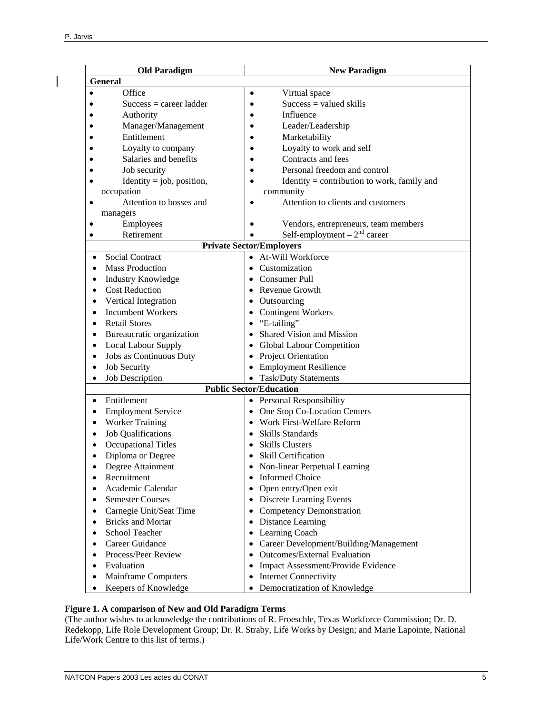| <b>Old Paradigm</b>                     | <b>New Paradigm</b>                                      |
|-----------------------------------------|----------------------------------------------------------|
| <b>General</b>                          |                                                          |
| Office                                  | Virtual space<br>$\bullet$                               |
| $Success = career ladder$               | $Success = valued skills$<br>$\bullet$                   |
| Authority                               | Influence<br>$\bullet$                                   |
| Manager/Management                      | Leader/Leadership<br>$\bullet$                           |
| Entitlement                             | Marketability                                            |
| Loyalty to company                      | Loyalty to work and self<br>$\bullet$                    |
| Salaries and benefits                   | Contracts and fees<br>$\bullet$                          |
| Job security                            | Personal freedom and control                             |
| Identity = job, position,<br>$\bullet$  | Identity = contribution to work, family and<br>$\bullet$ |
| occupation                              | community                                                |
| Attention to bosses and<br>$\bullet$    | Attention to clients and customers                       |
| managers                                |                                                          |
| Employees                               | Vendors, entrepreneurs, team members                     |
| Retirement                              | Self-employment $-2nd$ career                            |
| <b>Private Sector/Employers</b>         |                                                          |
| <b>Social Contract</b><br>$\bullet$     | • At-Will Workforce                                      |
| <b>Mass Production</b>                  | Customization                                            |
| <b>Industry Knowledge</b><br>$\bullet$  | Consumer Pull                                            |
| <b>Cost Reduction</b>                   | Revenue Growth                                           |
| Vertical Integration                    | Outsourcing<br>$\bullet$                                 |
| <b>Incumbent Workers</b><br>$\bullet$   | <b>Contingent Workers</b>                                |
| <b>Retail Stores</b>                    | $\bullet$ "E-tailing"                                    |
| Bureaucratic organization               | Shared Vision and Mission                                |
| <b>Local Labour Supply</b><br>$\bullet$ | Global Labour Competition                                |
| Jobs as Continuous Duty<br>$\bullet$    | • Project Orientation                                    |
| <b>Job Security</b><br>$\bullet$        | • Employment Resilience                                  |
| Job Description<br>$\bullet$            | • Task/Duty Statements                                   |
| <b>Public Sector/Education</b>          |                                                          |
| Entitlement<br>$\bullet$                | • Personal Responsibility                                |
| <b>Employment Service</b><br>$\bullet$  | • One Stop Co-Location Centers                           |
| <b>Worker Training</b><br>$\bullet$     | • Work First-Welfare Reform                              |
| <b>Job Qualifications</b><br>$\bullet$  | <b>Skills Standards</b><br>$\bullet$                     |
| <b>Occupational Titles</b>              | <b>Skills Clusters</b>                                   |
| Diploma or Degree<br>$\bullet$          | • Skill Certification                                    |
| Degree Attainment                       | Non-linear Perpetual Learning                            |
| Recruitment                             | • Informed Choice                                        |
| Academic Calendar                       | • Open entry/Open exit                                   |
| <b>Semester Courses</b><br>$\bullet$    | • Discrete Learning Events                               |
| Carnegie Unit/Seat Time<br>$\bullet$    | • Competency Demonstration                               |
| <b>Bricks and Mortar</b><br>$\bullet$   | • Distance Learning                                      |
| School Teacher<br>$\bullet$             | • Learning Coach                                         |
| Career Guidance                         | • Career Development/Building/Management                 |
| Process/Peer Review                     | • Outcomes/External Evaluation                           |
| Evaluation                              | • Impact Assessment/Provide Evidence                     |
| Mainframe Computers                     | <b>Internet Connectivity</b><br>$\bullet$                |
| Keepers of Knowledge                    | • Democratization of Knowledge                           |

#### **Figure 1. A comparison of New and Old Paradigm Terms**

(The author wishes to acknowledge the contributions of R. Froeschle, Texas Workforce Commission; Dr. D. Redekopp, Life Role Development Group; Dr. R. Straby, Life Works by Design; and Marie Lapointe, National Life/Work Centre to this list of terms.)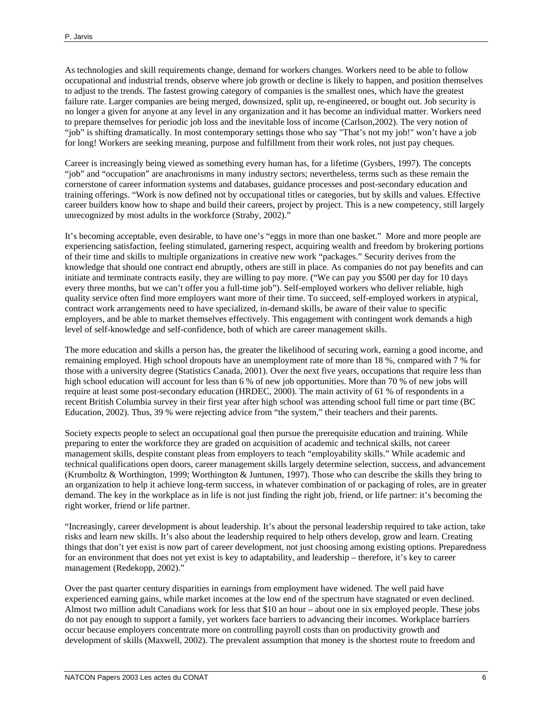As technologies and skill requirements change, demand for workers changes. Workers need to be able to follow occupational and industrial trends, observe where job growth or decline is likely to happen, and position themselves to adjust to the trends. The fastest growing category of companies is the smallest ones, which have the greatest failure rate. Larger companies are being merged, downsized, split up, re-engineered, or bought out. Job security is no longer a given for anyone at any level in any organization and it has become an individual matter. Workers need to prepare themselves for periodic job loss and the inevitable loss of income (Carlson,2002). The very notion of "job" is shifting dramatically. In most contemporary settings those who say "That's not my job!" won't have a job for long! Workers are seeking meaning, purpose and fulfillment from their work roles, not just pay cheques.

Career is increasingly being viewed as something every human has, for a lifetime (Gysbers, 1997). The concepts "job" and "occupation" are anachronisms in many industry sectors; nevertheless, terms such as these remain the cornerstone of career information systems and databases, guidance processes and post-secondary education and training offerings. "Work is now defined not by occupational titles or categories, but by skills and values. Effective career builders know how to shape and build their careers, project by project. This is a new competency, still largely unrecognized by most adults in the workforce (Straby, 2002)."

It's becoming acceptable, even desirable, to have one's "eggs in more than one basket." More and more people are experiencing satisfaction, feeling stimulated, garnering respect, acquiring wealth and freedom by brokering portions of their time and skills to multiple organizations in creative new work "packages." Security derives from the knowledge that should one contract end abruptly, others are still in place. As companies do not pay benefits and can initiate and terminate contracts easily, they are willing to pay more. ("We can pay you \$500 per day for 10 days every three months, but we can't offer you a full-time job"). Self-employed workers who deliver reliable, high quality service often find more employers want more of their time. To succeed, self-employed workers in atypical, contract work arrangements need to have specialized, in-demand skills, be aware of their value to specific employers, and be able to market themselves effectively. This engagement with contingent work demands a high level of self-knowledge and self-confidence, both of which are career management skills.

The more education and skills a person has, the greater the likelihood of securing work, earning a good income, and remaining employed. High school dropouts have an unemployment rate of more than 18 %, compared with 7 % for those with a university degree (Statistics Canada, 2001). Over the next five years, occupations that require less than high school education will account for less than 6 % of new job opportunities. More than 70 % of new jobs will require at least some post-secondary education (HRDEC, 2000). The main activity of 61 % of respondents in a recent British Columbia survey in their first year after high school was attending school full time or part time (BC Education, 2002). Thus, 39 % were rejecting advice from "the system," their teachers and their parents.

Society expects people to select an occupational goal then pursue the prerequisite education and training. While preparing to enter the workforce they are graded on acquisition of academic and technical skills, not career management skills, despite constant pleas from employers to teach "employability skills." While academic and technical qualifications open doors, career management skills largely determine selection, success, and advancement (Krumboltz & Worthington, 1999; Worthington & Juntunen, 1997). Those who can describe the skills they bring to an organization to help it achieve long-term success, in whatever combination of or packaging of roles, are in greater demand. The key in the workplace as in life is not just finding the right job, friend, or life partner: it's becoming the right worker, friend or life partner.

"Increasingly, career development is about leadership. It's about the personal leadership required to take action, take risks and learn new skills. It's also about the leadership required to help others develop, grow and learn. Creating things that don't yet exist is now part of career development, not just choosing among existing options. Preparedness for an environment that does not yet exist is key to adaptability, and leadership – therefore, it's key to career management (Redekopp, 2002)."

Over the past quarter century disparities in earnings from employment have widened. The well paid have experienced earning gains, while market incomes at the low end of the spectrum have stagnated or even declined. Almost two million adult Canadians work for less that \$10 an hour – about one in six employed people. These jobs do not pay enough to support a family, yet workers face barriers to advancing their incomes. Workplace barriers occur because employers concentrate more on controlling payroll costs than on productivity growth and development of skills (Maxwell, 2002). The prevalent assumption that money is the shortest route to freedom and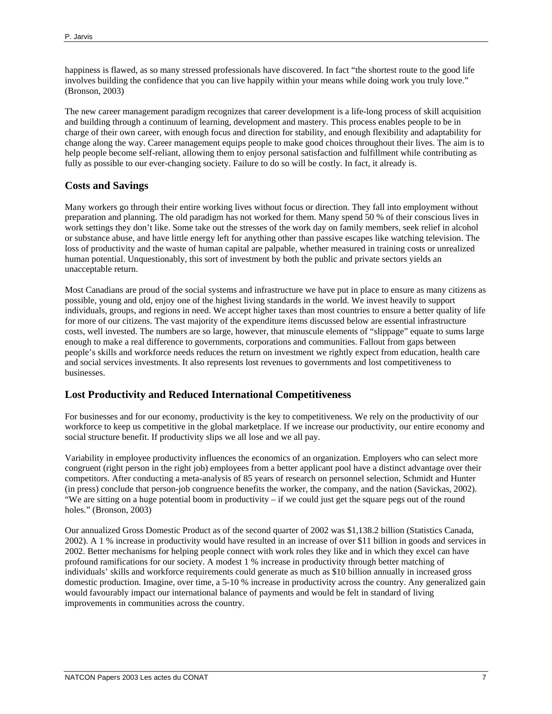happiness is flawed, as so many stressed professionals have discovered. In fact "the shortest route to the good life involves building the confidence that you can live happily within your means while doing work you truly love." (Bronson, 2003)

The new career management paradigm recognizes that career development is a life-long process of skill acquisition and building through a continuum of learning, development and mastery. This process enables people to be in charge of their own career, with enough focus and direction for stability, and enough flexibility and adaptability for change along the way. Career management equips people to make good choices throughout their lives. The aim is to help people become self-reliant, allowing them to enjoy personal satisfaction and fulfillment while contributing as fully as possible to our ever-changing society. Failure to do so will be costly. In fact, it already is.

## **Costs and Savings**

Many workers go through their entire working lives without focus or direction. They fall into employment without preparation and planning. The old paradigm has not worked for them. Many spend 50 % of their conscious lives in work settings they don't like. Some take out the stresses of the work day on family members, seek relief in alcohol or substance abuse, and have little energy left for anything other than passive escapes like watching television. The loss of productivity and the waste of human capital are palpable, whether measured in training costs or unrealized human potential. Unquestionably, this sort of investment by both the public and private sectors yields an unacceptable return.

Most Canadians are proud of the social systems and infrastructure we have put in place to ensure as many citizens as possible, young and old, enjoy one of the highest living standards in the world. We invest heavily to support individuals, groups, and regions in need. We accept higher taxes than most countries to ensure a better quality of life for more of our citizens. The vast majority of the expenditure items discussed below are essential infrastructure costs, well invested. The numbers are so large, however, that minuscule elements of "slippage" equate to sums large enough to make a real difference to governments, corporations and communities. Fallout from gaps between people's skills and workforce needs reduces the return on investment we rightly expect from education, health care and social services investments. It also represents lost revenues to governments and lost competitiveness to businesses.

## **Lost Productivity and Reduced International Competitiveness**

For businesses and for our economy, productivity is the key to competitiveness. We rely on the productivity of our workforce to keep us competitive in the global marketplace. If we increase our productivity, our entire economy and social structure benefit. If productivity slips we all lose and we all pay.

Variability in employee productivity influences the economics of an organization. Employers who can select more congruent (right person in the right job) employees from a better applicant pool have a distinct advantage over their competitors. After conducting a meta-analysis of 85 years of research on personnel selection, Schmidt and Hunter (in press) conclude that person-job congruence benefits the worker, the company, and the nation (Savickas, 2002). "We are sitting on a huge potential boom in productivity – if we could just get the square pegs out of the round holes." (Bronson, 2003)

Our annualized Gross Domestic Product as of the second quarter of 2002 was \$1,138.2 billion (Statistics Canada, 2002). A 1 % increase in productivity would have resulted in an increase of over \$11 billion in goods and services in 2002. Better mechanisms for helping people connect with work roles they like and in which they excel can have profound ramifications for our society. A modest 1 % increase in productivity through better matching of individuals' skills and workforce requirements could generate as much as \$10 billion annually in increased gross domestic production. Imagine, over time, a 5-10 % increase in productivity across the country. Any generalized gain would favourably impact our international balance of payments and would be felt in standard of living improvements in communities across the country.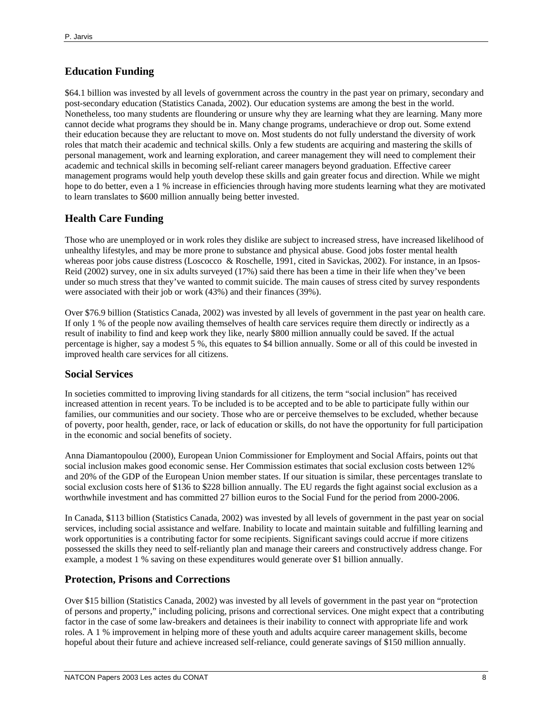# **Education Funding**

\$64.1 billion was invested by all levels of government across the country in the past year on primary, secondary and post-secondary education (Statistics Canada, 2002). Our education systems are among the best in the world. Nonetheless, too many students are floundering or unsure why they are learning what they are learning. Many more cannot decide what programs they should be in. Many change programs, underachieve or drop out. Some extend their education because they are reluctant to move on. Most students do not fully understand the diversity of work roles that match their academic and technical skills. Only a few students are acquiring and mastering the skills of personal management, work and learning exploration, and career management they will need to complement their academic and technical skills in becoming self-reliant career managers beyond graduation. Effective career management programs would help youth develop these skills and gain greater focus and direction. While we might hope to do better, even a 1 % increase in efficiencies through having more students learning what they are motivated to learn translates to \$600 million annually being better invested.

# **Health Care Funding**

Those who are unemployed or in work roles they dislike are subject to increased stress, have increased likelihood of unhealthy lifestyles, and may be more prone to substance and physical abuse. Good jobs foster mental health whereas poor jobs cause distress (Loscocco & Roschelle, 1991, cited in Savickas, 2002). For instance, in an Ipsos-Reid (2002) survey, one in six adults surveyed (17%) said there has been a time in their life when they've been under so much stress that they've wanted to commit suicide. The main causes of stress cited by survey respondents were associated with their job or work (43%) and their finances (39%).

Over \$76.9 billion (Statistics Canada, 2002) was invested by all levels of government in the past year on health care. If only 1 % of the people now availing themselves of health care services require them directly or indirectly as a result of inability to find and keep work they like, nearly \$800 million annually could be saved. If the actual percentage is higher, say a modest 5 %, this equates to \$4 billion annually. Some or all of this could be invested in improved health care services for all citizens.

## **Social Services**

In societies committed to improving living standards for all citizens, the term "social inclusion" has received increased attention in recent years. To be included is to be accepted and to be able to participate fully within our families, our communities and our society. Those who are or perceive themselves to be excluded, whether because of poverty, poor health, gender, race, or lack of education or skills, do not have the opportunity for full participation in the economic and social benefits of society.

Anna Diamantopoulou (2000), European Union Commissioner for Employment and Social Affairs, points out that social inclusion makes good economic sense. Her Commission estimates that social exclusion costs between 12% and 20% of the GDP of the European Union member states. If our situation is similar, these percentages translate to social exclusion costs here of \$136 to \$228 billion annually. The EU regards the fight against social exclusion as a worthwhile investment and has committed 27 billion euros to the Social Fund for the period from 2000-2006.

In Canada, \$113 billion (Statistics Canada, 2002) was invested by all levels of government in the past year on social services, including social assistance and welfare. Inability to locate and maintain suitable and fulfilling learning and work opportunities is a contributing factor for some recipients. Significant savings could accrue if more citizens possessed the skills they need to self-reliantly plan and manage their careers and constructively address change. For example, a modest 1 % saving on these expenditures would generate over \$1 billion annually.

# **Protection, Prisons and Corrections**

Over \$15 billion (Statistics Canada, 2002) was invested by all levels of government in the past year on "protection of persons and property," including policing, prisons and correctional services. One might expect that a contributing factor in the case of some law-breakers and detainees is their inability to connect with appropriate life and work roles. A 1 % improvement in helping more of these youth and adults acquire career management skills, become hopeful about their future and achieve increased self-reliance, could generate savings of \$150 million annually.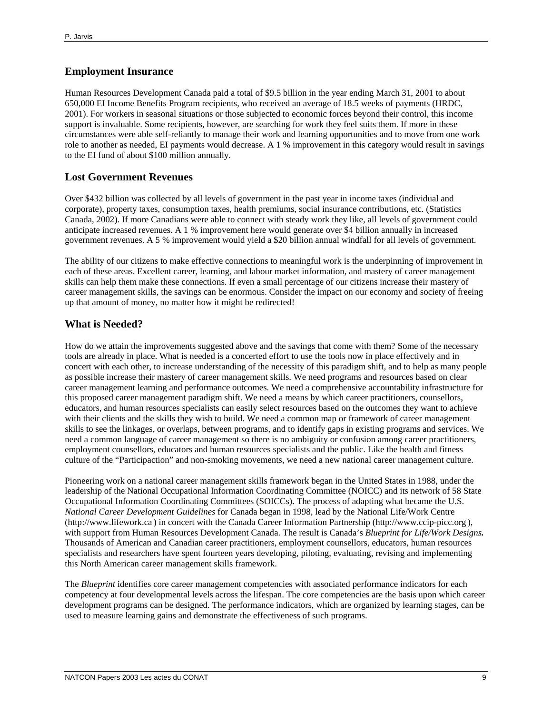## **Employment Insurance**

Human Resources Development Canada paid a total of \$9.5 billion in the year ending March 31, 2001 to about 650,000 EI Income Benefits Program recipients, who received an average of 18.5 weeks of payments (HRDC, 2001). For workers in seasonal situations or those subjected to economic forces beyond their control, this income support is invaluable. Some recipients, however, are searching for work they feel suits them. If more in these circumstances were able self-reliantly to manage their work and learning opportunities and to move from one work role to another as needed, EI payments would decrease. A 1 % improvement in this category would result in savings to the EI fund of about \$100 million annually.

#### **Lost Government Revenues**

Over \$432 billion was collected by all levels of government in the past year in income taxes (individual and corporate), property taxes, consumption taxes, health premiums, social insurance contributions, etc. (Statistics Canada, 2002). If more Canadians were able to connect with steady work they like, all levels of government could anticipate increased revenues. A 1 % improvement here would generate over \$4 billion annually in increased government revenues. A 5 % improvement would yield a \$20 billion annual windfall for all levels of government.

The ability of our citizens to make effective connections to meaningful work is the underpinning of improvement in each of these areas. Excellent career, learning, and labour market information, and mastery of career management skills can help them make these connections. If even a small percentage of our citizens increase their mastery of career management skills, the savings can be enormous. Consider the impact on our economy and society of freeing up that amount of money, no matter how it might be redirected!

#### **What is Needed?**

How do we attain the improvements suggested above and the savings that come with them? Some of the necessary tools are already in place. What is needed is a concerted effort to use the tools now in place effectively and in concert with each other, to increase understanding of the necessity of this paradigm shift, and to help as many people as possible increase their mastery of career management skills. We need programs and resources based on clear career management learning and performance outcomes. We need a comprehensive accountability infrastructure for this proposed career management paradigm shift. We need a means by which career practitioners, counsellors, educators, and human resources specialists can easily select resources based on the outcomes they want to achieve with their clients and the skills they wish to build. We need a common map or framework of career management skills to see the linkages, or overlaps, between programs, and to identify gaps in existing programs and services. We need a common language of career management so there is no ambiguity or confusion among career practitioners, employment counsellors, educators and human resources specialists and the public. Like the health and fitness culture of the "Participaction" and non-smoking movements, we need a new national career management culture.

Pioneering work on a national career management skills framework began in the United States in 1988, under the leadership of the National Occupational Information Coordinating Committee (NOICC) and its network of 58 State Occupational Information Coordinating Committees (SOICCs). The process of adapting what became the U.S. *National Career Development Guidelines* for Canada began in 1998, lead by the National Life/Work Centre (http://www.lifework.ca ) in concert with the Canada Career Information Partnership (http://www.ccip-picc.org ), with support from Human Resources Development Canada. The result is Canada's *Blueprint for Life/Work Designs.* Thousands of American and Canadian career practitioners, employment counsellors, educators, human resources specialists and researchers have spent fourteen years developing, piloting, evaluating, revising and implementing this North American career management skills framework.

The *Blueprint* identifies core career management competencies with associated performance indicators for each competency at four developmental levels across the lifespan. The core competencies are the basis upon which career development programs can be designed. The performance indicators, which are organized by learning stages, can be used to measure learning gains and demonstrate the effectiveness of such programs.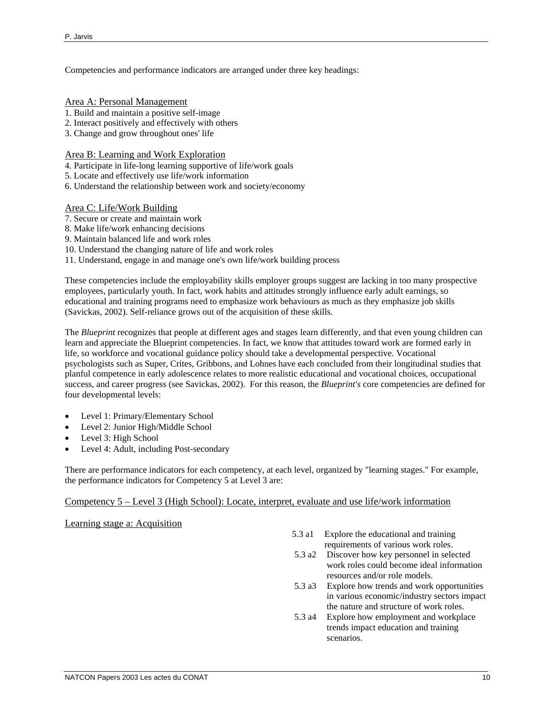Competencies and performance indicators are arranged under three key headings:

- Area A: Personal Management
- 1. Build and maintain a positive self-image
- 2. Interact positively and effectively with others
- 3. Change and grow throughout ones' life

Area B: Learning and Work Exploration

- 4. Participate in life-long learning supportive of life/work goals
- 5. Locate and effectively use life/work information
- 6. Understand the relationship between work and society/economy

#### Area C: Life/Work Building

- 7. Secure or create and maintain work
- 8. Make life/work enhancing decisions
- 9. Maintain balanced life and work roles
- 10. Understand the changing nature of life and work roles
- 11. Understand, engage in and manage one's own life/work building process

These competencies include the employability skills employer groups suggest are lacking in too many prospective employees, particularly youth. In fact, work habits and attitudes strongly influence early adult earnings, so educational and training programs need to emphasize work behaviours as much as they emphasize job skills (Savickas, 2002). Self-reliance grows out of the acquisition of these skills.

The *Blueprint* recognizes that people at different ages and stages learn differently, and that even young children can learn and appreciate the Blueprint competencies. In fact, we know that attitudes toward work are formed early in life, so workforce and vocational guidance policy should take a developmental perspective. Vocational psychologists such as Super, Crites, Gribbons, and Lohnes have each concluded from their longitudinal studies that planful competence in early adolescence relates to more realistic educational and vocational choices, occupational success, and career progress (see Savickas, 2002). For this reason, the *Blueprint's* core competencies are defined for four developmental levels:

- Level 1: Primary/Elementary School
- Level 2: Junior High/Middle School
- Level 3: High School
- Level 4: Adult, including Post-secondary

There are performance indicators for each competency, at each level, organized by "learning stages." For example, the performance indicators for Competency 5 at Level 3 are:

#### Competency 5 – Level 3 (High School): Locate, interpret, evaluate and use life/work information

Learning stage a: Acquisition

- 5.3 a1 Explore the educational and training requirements of various work roles.
- 5.3 a2 Discover how key personnel in selected work roles could become ideal information resources and/or role models.
- 5.3 a3 Explore how trends and work opportunities in various economic/industry sectors impact the nature and structure of work roles.
- 5.3 a4 Explore how employment and workplace trends impact education and training scenarios.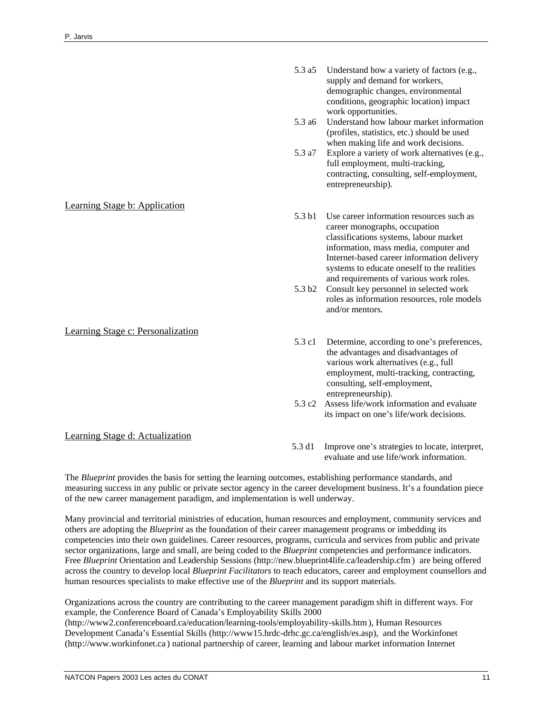# Learning Stage b: Application

#### Learning Stage c: Personalization

# Learning Stage d: Actualization

5.3 a5 Understand how a variety of factors (e.g., supply and demand for workers, demographic changes, environmental conditions, geographic location) impact work opportunities.

- 5.3 a6 Understand how labour market information (profiles, statistics, etc.) should be used when making life and work decisions.
- 5.3 a7 Explore a variety of work alternatives (e.g., full employment, multi-tracking, contracting, consulting, self-employment, entrepreneurship).
- 5.3 b1 Use career information resources such as career monographs, occupation classifications systems, labour market information, mass media, computer and Internet-based career information delivery systems to educate oneself to the realities and requirements of various work roles.
- 5.3 b2 Consult key personnel in selected work roles as information resources, role models and/or mentors.
- 5.3 c1 Determine, according to one's preferences, the advantages and disadvantages of various work alternatives (e.g., full employment, multi-tracking, contracting, consulting, self-employment, entrepreneurship).
- 5.3 c2 Assess life/work information and evaluate its impact on one's life/work decisions.
- 5.3 d1 Improve one's strategies to locate, interpret, evaluate and use life/work information.

The *Blueprint* provides the basis for setting the learning outcomes, establishing performance standards, and measuring success in any public or private sector agency in the career development business. It's a foundation piece of the new career management paradigm, and implementation is well underway.

Many provincial and territorial ministries of education, human resources and employment, community services and others are adopting the *Blueprint* as the foundation of their career management programs or imbedding its competencies into their own guidelines. Career resources, programs, curricula and services from public and private sector organizations, large and small, are being coded to the *Blueprint* competencies and performance indicators. Free *Blueprint* Orientation and Leadership Sessions (http://new.blueprint4life.ca/leadership.cfm) are being offered across the country to develop local *Blueprint Facilitators* to teach educators, career and employment counsellors and human resources specialists to make effective use of the *Blueprint* and its support materials.

Organizations across the country are contributing to the career management paradigm shift in different ways. For example, the Conference Board of Canada's Employability Skills 2000 (http://www2.conferenceboard.ca/education/learning-tools/employability-skills.htm), Human Resources Development Canada's Essential Skills (http://www15.hrdc-drhc.gc.ca/english/es.asp), and the Workinfonet (http://www.workinfonet.ca ) national partnership of career, learning and labour market information Internet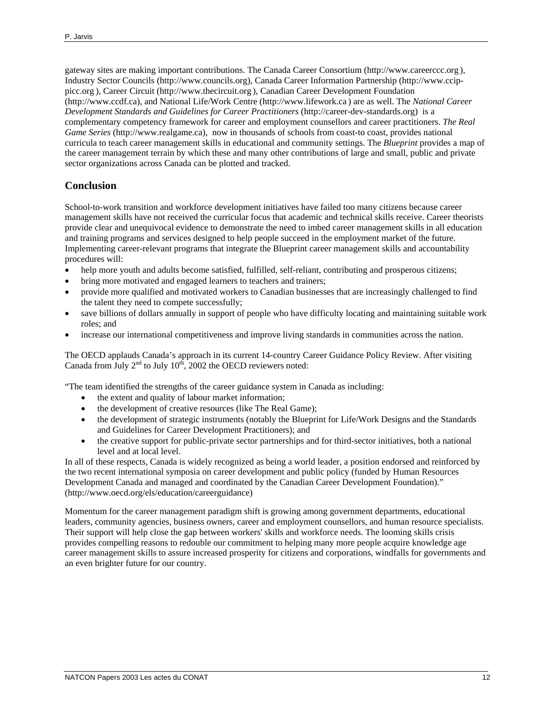gateway sites are making important contributions. The Canada Career Consortium (http://www.careerccc.org ), Industry Sector Councils (http://www.councils.org), Canada Career Information Partnership (http://www.ccippicc.org ), Career Circuit (http://www.thecircuit.org ), Canadian Career Development Foundation (http://www.ccdf.ca), and National Life/Work Centre (http://www.lifework.ca ) are as well. The *National Career Development Standards and Guidelines for Career Practitioners* (http://career-dev-standards.org) is a complementary competency framework for career and employment counsellors and career practitioners. *The Real Game Series* (http://www.realgame.ca)*,* now in thousands of schools from coast-to coast, provides national curricula to teach career management skills in educational and community settings. The *Blueprint* provides a map of the career management terrain by which these and many other contributions of large and small, public and private sector organizations across Canada can be plotted and tracked.

# **Conclusion**

School-to-work transition and workforce development initiatives have failed too many citizens because career management skills have not received the curricular focus that academic and technical skills receive. Career theorists provide clear and unequivocal evidence to demonstrate the need to imbed career management skills in all education and training programs and services designed to help people succeed in the employment market of the future. Implementing career-relevant programs that integrate the Blueprint career management skills and accountability procedures will:

- help more youth and adults become satisfied, fulfilled, self-reliant, contributing and prosperous citizens;
- bring more motivated and engaged learners to teachers and trainers;
- provide more qualified and motivated workers to Canadian businesses that are increasingly challenged to find the talent they need to compete successfully;
- save billions of dollars annually in support of people who have difficulty locating and maintaining suitable work roles; and
- increase our international competitiveness and improve living standards in communities across the nation.

The OECD applauds Canada's approach in its current 14-country Career Guidance Policy Review. After visiting Canada from July  $2<sup>nd</sup>$  to July  $10<sup>th</sup>$ , 2002 the OECD reviewers noted:

"The team identified the strengths of the career guidance system in Canada as including:

- the extent and quality of labour market information;
- the development of creative resources (like The Real Game);
- the development of strategic instruments (notably the Blueprint for Life/Work Designs and the Standards and Guidelines for Career Development Practitioners); and
- the creative support for public-private sector partnerships and for third-sector initiatives, both a national level and at local level.

In all of these respects, Canada is widely recognized as being a world leader, a position endorsed and reinforced by the two recent international symposia on career development and public policy (funded by Human Resources Development Canada and managed and coordinated by the Canadian Career Development Foundation)." (http://www.oecd.org/els/education/careerguidance)

Momentum for the career management paradigm shift is growing among government departments, educational leaders, community agencies, business owners, career and employment counsellors, and human resource specialists. Their support will help close the gap between workers' skills and workforce needs. The looming skills crisis provides compelling reasons to redouble our commitment to helping many more people acquire knowledge age career management skills to assure increased prosperity for citizens and corporations, windfalls for governments and an even brighter future for our country.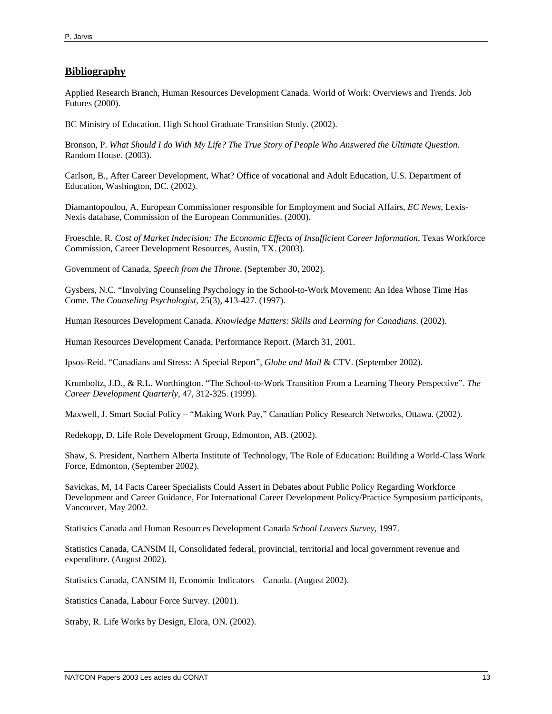## **Bibliography**

Applied Research Branch, Human Resources Development Canada. World of Work: Overviews and Trends. Job Futures (2000).

BC Ministry of Education. High School Graduate Transition Study. (2002).

Bronson, P. *What Should I do With My Life? The True Story of People Who Answered the Ultimate Question*. Random House. (2003).

Carlson, B., After Career Development, What? Office of vocational and Adult Education, U.S. Department of Education, Washington, DC. (2002).

Diamantopoulou, A. European Commissioner responsible for Employment and Social Affairs, *EC News*, Lexis-Nexis database, Commission of the European Communities. (2000).

Froeschle, R. *Cost of Market Indecision: The Economic Effects of Insufficient Career Information*, Texas Workforce Commission, Career Development Resources, Austin, TX. (2003).

Government of Canada, *Speech from the Throne*. (September 30, 2002).

Gysbers, N.C. "Involving Counseling Psychology in the School-to-Work Movement: An Idea Whose Time Has Come. *The Counseling Psychologist*, 25(3), 413-427. (1997).

Human Resources Development Canada. *Knowledge Matters: Skills and Learning for Canadians*. (2002).

Human Resources Development Canada, Performance Report. (March 31, 2001.

Ipsos-Reid. "Canadians and Stress: A Special Report", *Globe and Mail* & CTV. (September 2002).

Krumboltz, J.D., & R.L. Worthington. "The School-to-Work Transition From a Learning Theory Perspective". *The Career Development Quarterly*, 47, 312-325. (1999).

Maxwell, J. Smart Social Policy – "Making Work Pay," Canadian Policy Research Networks, Ottawa. (2002).

Redekopp, D. Life Role Development Group, Edmonton, AB. (2002).

Shaw, S. President, Northern Alberta Institute of Technology, The Role of Education: Building a World-Class Work Force, Edmonton, (September 2002).

Savickas, M, 14 Facts Career Specialists Could Assert in Debates about Public Policy Regarding Workforce Development and Career Guidance, For International Career Development Policy/Practice Symposium participants, Vancouver, May 2002.

Statistics Canada and Human Resources Development Canada *School Leavers Survey*, 1997.

Statistics Canada, CANSIM II, Consolidated federal, provincial, territorial and local government revenue and expenditure. (August 2002).

Statistics Canada, CANSIM II, Economic Indicators – Canada. (August 2002).

Statistics Canada, Labour Force Survey. (2001).

Straby, R. Life Works by Design, Elora, ON. (2002).